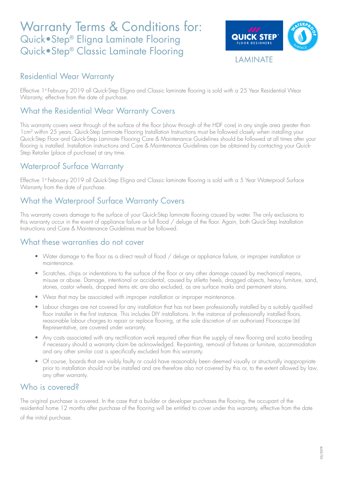# Warranty Terms & Conditions for: Quick•Step® Eligna Laminate Flooring Quick•Step® Classic Laminate Flooring



**LAMINATE** 

#### Residential Wear Warranty

Effective 1st February 2019 all Quick-Step Eligna and Classic laminate flooring is sold with a 25 Year Residential Wear Warranty, effective from the date of purchase.

#### What the Residential Wear Warranty Covers

This warranty covers wear through of the surface of the floor (show through of the HDF core) in any single area greater than 1cm² within 25 years. Quick-Step Laminate Flooring Installation Instructions must be followed closely when installing your Quick-Step Floor and Quick-Step Laminate Flooring Care & Maintenance Guidelines should be followed at all times after your flooring is installed. Installation instructions and Care & Maintenance Guidelines can be obtained by contacting your Quick-Step Retailer (place of purchase) at any time.

# Waterproof Surface Warranty

Effective 1st February 2019 all Quick-Step Eligna and Classic laminate flooring is sold with a 5 Year Waterproof Surface Warranty from the date of purchase.

# What the Waterproof Surface Warranty Covers

This warranty covers damage to the surface of your Quick-Step laminate flooring caused by water. The only exclusions to this warranty occur in the event of appliance failure or full flood / deluge of the floor. Again, both Quick-Step Installation Instructions and Care & Maintenance Guidelines must be followed.

#### What these warranties do not cover

- Water damage to the floor as a direct result of flood / deluge or appliance failure, or improper installation or maintenance.
- Scratches, chips or indentations to the surface of the floor or any other damage caused by mechanical means, misuse or abuse. Damage, intentional or accidental, caused by stiletto heels, dragged objects, heavy furniture, sand, stones, castor wheels, dropped items etc are also excluded, as are surface marks and permanent stains.
- Wear that may be associated with improper installation or improper maintenance.
- Labour charges are not covered for any installation that has not been professionally installed by a suitably qualified floor installer in the first instance. This includes DIY installations. In the instance of professionally installed floors, reasonable labour charges to repair or replace flooring, at the sole discretion of an authorised Floorscape Ltd Representative, are covered under warranty.
- Any costs associated with any rectification work required other than the supply of new flooring and scotia beading if necessary should a warranty claim be acknowledged. Re-painting, removal of fixtures or furniture, accommodation and any other similar cost is specifically excluded from this warranty.
- Of course, boards that are visibly faulty or could have reasonably been deemed visually or structurally inappropriate prior to installation should not be installed and are therefore also not covered by this or, to the extent allowed by law, any other warranty.

#### Who is covered?

The original purchaser is covered. In the case that a builder or developer purchases the flooring, the occupant of the residential home 12 months after purchase of the flooring will be entitled to cover under this warranty, effective from the date of the initial purchase.